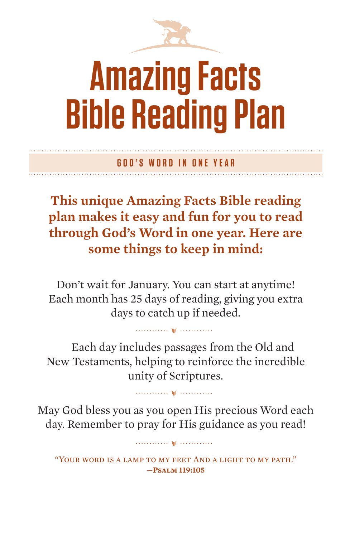

# **Amazing Facts Bible Reading Plan**

**GOD'S WORD IN ONE YEAR**

**This unique Amazing Facts Bible reading plan makes it easy and fun for you to read through God's Word in one year. Here are some things to keep in mind:**

Don't wait for January. You can start at anytime! Each month has 25 days of reading, giving you extra days to catch up if needed.

Each day includes passages from the Old and New Testaments, helping to reinforce the incredible unity of Scriptures.

May God bless you as you open His precious Word each day. Remember to pray for His guidance as you read!

"Your word is a lamp to my feet And a light to my path." **—Psalm 119:105**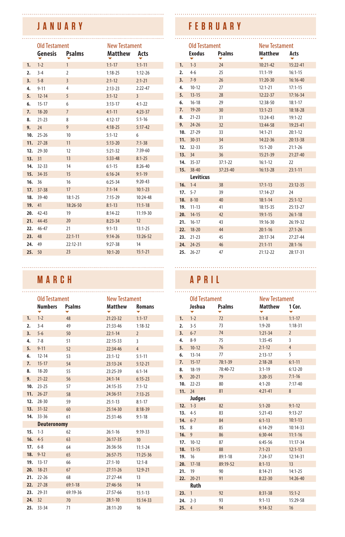## **JANUARY**

|     | <b>Old Testament</b> |                | <b>New Testament</b> |                |
|-----|----------------------|----------------|----------------------|----------------|
|     | Genesis Psalms       |                | Matthew Acts         |                |
| 1.  | $1 - 2$              | $\mathbf{1}$   | $1:1-17$             | $1:1 - 11$     |
| 2.  | $3 - 4$              | $\overline{2}$ | $1:18-25$            | $1:12 - 26$    |
| 3.  | $5 - 8$              | $\overline{3}$ | $2:1-12$             | $2:1 - 21$     |
| 4.  | $9 - 11$             | 4              | $2:13-23$            | $2:22 - 47$    |
| 5.  | $12 - 14$            | 5              | $3:1-12$             | $\overline{3}$ |
| 6.  | $15 - 17$            | 6              | $3:13-17$            | $4:1 - 22$     |
| 7.  | $18 - 20$            | $\overline{7}$ | $4:1 - 11$           | $4:23-37$      |
| 8.  | $21 - 23$            | 8              | $4:12 - 17$          | $5:1 - 16$     |
| 9.  | 24                   | 9              | $4:18-25$            | $5:17-42$      |
| 10. | $25 - 26$            | 10             | $5:1 - 12$           | 6              |
| 11. | $27 - 28$            | 11             | $5:13 - 20$          | $7:1-38$       |
| 12. | $29 - 30$            | 12             | $5:21-32$            | $7:39-60$      |
| 13. | 31                   | 13             | $5:33 - 48$          | $8:1 - 25$     |
|     | 14. 32-33            | 14             | $6:1 - 15$           | $8:26 - 40$    |
| 15. | 34-35                | 15             | $6:16 - 24$          | $9:1 - 19$     |
| 16. | 36                   | 16             | $6:25 - 34$          | $9:20 - 43$    |
| 17. | $37 - 38$            | 17             | $7:1 - 14$           | $10:1-23$      |
|     | 18. 39-40            | $18:1 - 25$    | $7:15-29$            | $10:24-48$     |
| 19. | 41                   | 18:26-50       | $8:1 - 13$           | $11:1 - 18$    |
| 20. | $42 - 43$            | 19             | $8:14-22$            | 11:19-30       |
| 21. | $44 - 45$            | 20             | $8:23-34$            | 12             |
| 22. | $46 - 47$            | 21             | $9:1 - 13$           | $13:1 - 25$    |
| 23. | 48                   | $22:1 - 11$    | $9:14-26$            | $13:26-52$     |
| 24. | 49                   | 22:12-31       | $9:27 - 38$          | 14             |
| 25. | 50                   | 23             | $10:1 - 20$          | $15:1 - 21$    |

#### **MARCH APRIL**

|        | <b>Old Testament</b> |               | <b>New Testament</b> |                 |        | <b>Old Testament</b> |               | <b>New Testament</b> |                |
|--------|----------------------|---------------|----------------------|-----------------|--------|----------------------|---------------|----------------------|----------------|
|        | <b>Numbers</b>       | <b>Psalms</b> | <b>Matthew</b>       | <b>Romans</b>   |        | Joshua               | <b>Psalms</b> | <b>Matthew</b>       | 1 Cor.         |
| 1.     | $1 - 2$              | 48            | 21:23-32             | $1:1 - 17$      | 1.     | $1 - 2$              | 72            | $1:1-8$              | $1:1-17$       |
| 2.     | $3 - 4$              | 49            | 21:33-46             | $1:18-32$       | 2.     | $3 - 5$              | 73            | $1:9 - 20$           | $1:18-3$       |
| 3.     | $5 - 6$              | 50            | $22:1 - 14$          | $\overline{2}$  | 3.     | $6 - 7$              | 74            | $1:21-34$            | $\overline{2}$ |
| 4.     | $7 - 8$              | 51            | 22:15-33             | 3               | 4.     | $8 - 9$              | 75            | $1:35-45$            | 3              |
| 5.     | $9 - 11$             | 52            | 22:34-46             | $\sqrt{4}$      | 5.     | $10 - 12$            | 76            | $2:1-12$             | $\overline{4}$ |
| 6.     | $12 - 14$            | 53            | $23:1 - 12$          | $5:1 - 11$      | 6.     | $13 - 14$            | 77            | $2:13-17$            | 5              |
| 7.     | $15 - 17$            | 54            | 23:13-24             | $5:12 - 21$     | 7.     | $15 - 17$            | 78:1-39       | $2:18-28$            | $6:1 - 11$     |
| 8.     | $18 - 20$            | 55            | 23:25-39             | $6:1 - 14$      | 8.     | $18 - 19$            | 78:40-72      | $3:1-19$             | $6:12-20$      |
| 9.     | $21 - 22$            | 56            | $24:1 - 14$          | $6:15-23$       | 9.     | $20 - 21$            | 79            | $3:20-35$            | $7:1 - 16$     |
| 10.    | $23 - 25$            | 57            | 24:15-35             | $7:1-12$        | 10.    | $22 - 23$            | 80            | $4:1 - 20$           | $7:17-40$      |
| 11.    | $26 - 27$            | 58            | 24:36-51             | $7:13-25$       | 11. 24 |                      | 81            | $4:21 - 41$          | 8              |
|        | 12. 28-30            | 59            | $25:1 - 13$          | $8:1 - 17$      |        | Judges               |               |                      |                |
|        | 13. 31-32            | 60            | 25:14-30             | $8:18-39$       |        | $12. 1-3$            | 82            | $5:1 - 20$           | $9:1 - 12$     |
|        | 14. 33-36            | 61            | 25:31-46             | $9:1 - 18$      | 13.    | $4 - 5$              | 83            | $5:21 - 43$          | $9:13-2$       |
|        | <b>Deuteronomy</b>   |               |                      |                 |        | 14. 6-7              | 84            | $6:1-13$             | $10:1 - 13$    |
|        | $15. 1-3$            | 62            | $26:1 - 16$          | $9:19-33$       | 15.8   |                      | 85            | $6:14-29$            | $10:14-3$      |
|        | 16. $4-5$            | 63            | 26:17-35             | 10 <sup>°</sup> | 16.9   |                      | 86            | $6:30-44$            | $11:1 - 16$    |
|        | $17.6 - 8$           | 64            | 26:36-56             | $11:1 - 24$     | 17.    | $10 - 12$            | 87            | $6:45-56$            | $11:17-$       |
|        | $18. 9-12$           | 65            | 26:57-75             | $11:25-36$      |        | 18. 13-15            | 88            | $7:1-23$             | $12:1 - 13$    |
| 19.    | $13 - 17$            |               |                      |                 | 19.    | 16                   | $89:1 - 18$   | $7:24-37$            | $12:14-3$      |
|        |                      | 66            | $27:1 - 10$          | $12:1-8$        | 20.    | $17-18$              | 89:19-52      | $8:1-13$             | 13             |
| 20.    | $18 - 21$            | 67            | 27:11-26             | $12:9-21$       | 21.    | 19                   | 90            | $8:14-21$            | $14:1 - 2!$    |
| 21.    | $22 - 26$            | 68            | 27:27-44             | 13              |        | 22. 20-21            | 91            | $8:22 - 30$          | $14:26-4$      |
|        | 22. 27-28            | $69:1 - 18$   | 27:46-56             | 14              |        | Ruth                 |               |                      |                |
| 23.    | 29-31                | 69:19-36      | 27:57-66             | $15:1 - 13$     | 23.1   |                      | 92            | $8:31-38$            | $15:1-2$       |
| 24. 32 |                      | 70            | $28:1 - 10$          | $15:14-33$      |        | $24.2 -3$            | 93            | $9:1 - 13$           | $15:29-$       |
|        | 25. 33-34            | 71            | 28:11-20             | 16              | 25.4   |                      | 94            | $9:14-32$            | 16             |

#### **FEBRUARY**

 $\overline{\ldots}$ 

|     | Old Testament<br><b>Exodus</b> | Psalms      | <b>New Testament</b><br>Matthew | Acts        |
|-----|--------------------------------|-------------|---------------------------------|-------------|
|     |                                |             |                                 |             |
| 1.  | $1 - 3$                        | 24          | $10:21-42$                      | 15:22-41    |
| 2.  | $4 - 6$                        | 25          | $11:1 - 19$                     | $16:1 - 15$ |
| 3.  | $7 - 9$                        | 26          | $11:20-30$                      | 16:16-40    |
| 4.  | $10 - 12$                      | 27          | $12:1 - 21$                     | $17:1 - 15$ |
| 5.  | $13 - 15$                      | 28          | $12:22-37$                      | $17:16-34$  |
| 6.  | $16 - 18$                      | 29          | 12:38-50                        | $18:1 - 17$ |
| 7.  | $19 - 20$                      | 30          | $13:1-23$                       | 18:18-28    |
| 8.  | $21 - 23$                      | 31          | 13:24-43                        | $19:1 - 22$ |
| 9.  | $24 - 26$                      | 32          | 13:44-58                        | $19:23-41$  |
| 10. | $27-29$                        | 33          | $14:1 - 21$                     | $20:1 - 12$ |
| 11. | $30 - 31$                      | 34          | $14:22 - 36$                    | $20:13-38$  |
|     | $12.32-33$                     | 35          | $15:1 - 20$                     | $21:1 - 26$ |
|     | 13. 34                         | 36          | $15:21-39$                      | $21:27-40$  |
|     | 14. 35-37                      | $37:1 - 22$ | $16:1-12$                       | $22 -$      |
|     | 15. 38-40                      | $37:23-40$  | $16:13-28$                      | $23:1 - 11$ |
|     | <b>Leviticus</b>               |             |                                 |             |
| 16. | $1 - 4$                        | 38          | $17:1 - 13$                     | $23:12-35$  |
|     | $17.5 - 7$                     | 39          | $17:14-27$                      | 24          |
|     | $18.8 - 10$                    | 40          | $18:1 - 14$                     | $25:1 - 12$ |
|     | 19. 11-13                      | 41          | 18:15-35                        | $25:13-27$  |
| 20. | $14 - 15$                      | 42          | $19:1 - 15$                     | $26:1 - 18$ |
| 21. | $16 - 17$                      | 43          | $19:16-30$                      | 26:19-32    |
| 22. | $18 - 20$                      | 44          | $20:1 - 16$                     | $27:1 - 26$ |
| 23. | $21 - 23$                      | 45          | $20:17-34$                      | $27:27-44$  |
|     | 24. 24-25                      | 46          | $21:1 - 11$                     | $28:1 - 16$ |
| 25. | $26 - 27$                      | 47          | 21:12-22                        | 28:17-31    |
|     |                                |             |                                 |             |

|     | <b>Old Testament</b> |             | <b>New Testament</b> |                |
|-----|----------------------|-------------|----------------------|----------------|
|     | Joshua               | Psalms      | <b>Matthew</b>       | 1 Cor.         |
| 1.  | $1 - 2$              | 72          | $1:1-8$              | $1:1-17$       |
| 2.  | $3 - 5$              | 73          | $1:9-20$             | $1:18-31$      |
| 3.  | $6 - 7$              | 74          | $1:21-34$            | $\overline{2}$ |
| 4.  | $8 - 9$              | 75          | $1:35-45$            | $\overline{3}$ |
| 5.  | $10 - 12$            | 76          | $2:1-12$             | $\overline{4}$ |
| 6.  | $13 - 14$            | 77          | $2:13-17$            | 5              |
| 7.  | $15 - 17$            | 78:1-39     | $2:18-28$            | $6:1 - 11$     |
| 8.  | $18 - 19$            | 78:40-72    | $3:1-19$             | $6:12 - 20$    |
| 9.  | $20 - 21$            | 79          | $3:20-35$            | $7:1 - 16$     |
| 10. | $22 - 23$            | 80          | $4:1 - 20$           | $7:17 - 40$    |
| 11. | 24                   | 81          | $4:21 - 41$          | 8              |
|     | Judges               |             |                      |                |
| 12. | $1 - 3$              | 82          | $5:1 - 20$           | $9:1 - 12$     |
|     | $13.4 - 5$           | 83          | $5:21 - 43$          | $9:13-27$      |
| 14. | $6 - 7$              | 84          | $6:1-13$             | $10:1 - 13$    |
| 15. | 8                    | 85          | $6:14-29$            | 10:14-33       |
| 16. | $\overline{9}$       | 86          | $6:30-44$            | $11:1 - 16$    |
| 17. | $10 - 12$            | 87          | $6:45-56$            | 11:17-34       |
| 18. | $13 - 15$            | 88          | $7:1-23$             | $12:1 - 13$    |
| 19. | 16                   | $89:1 - 18$ | $7:24-37$            | 12:14-31       |
| 20. | $17-18$              | 89:19-52    | $8:1-13$             | 13             |
| 21. | 19                   | 90          | $8:14-21$            | $14:1 - 25$    |
| 22. | $20 - 21$            | 91          | $8:22 - 30$          | 14:26-40       |
|     | <b>Ruth</b>          |             |                      |                |
| 23. | $\mathbf{1}$         | 92          | $8:31-38$            | $15:1-2$       |
| 24. | $2 - 3$              | 93          | $9:1 - 13$           | 15:29-58       |
| 25. | $\overline{4}$       | 94          | $9:14-32$            | 16             |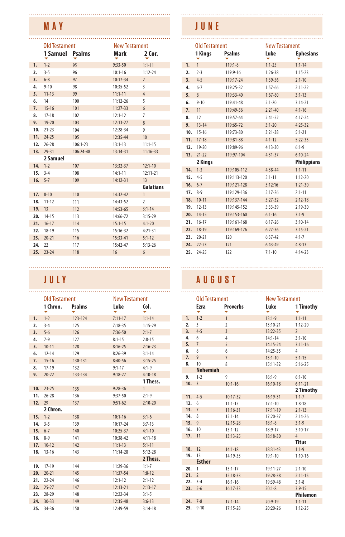#### **MAY**

|     | <b>Old Testament</b> |            | <b>New Testament</b> |                |
|-----|----------------------|------------|----------------------|----------------|
|     | 1 Samuel Psalms      |            | Mark                 | 2 Cor.         |
| 1.  | $1 - 2$              | 95         | $9:33-50$            | $1:1 - 11$     |
| 2.  | $3 - 5$              | 96         | $10:1 - 16$          | $1:12 - 24$    |
| 3.  | $6 - 8$              | 97         | $10:17 - 34$         | $\overline{2}$ |
| 4.  | $9 - 10$             | 98         | 10:35-52             | 3              |
| 5.  | $11-13$              | 99         | $11:1 - 11$          | $\overline{4}$ |
|     | 6. 14                | 100        | $11:12-26$           | 5              |
| 7.  | $15 - 16$            | 101        | $11:27-33$           | 6              |
| 8.  | $17 - 18$            | 102        | $12:1 - 12$          | $\overline{7}$ |
| 9.  | $19 - 20$            | 103        | $12:13-27$           | 8              |
|     | $10.21-23$           | 104        | 12:28-34             | 9              |
| 11. | 24-25                | 105        | 12:35-44             | 10             |
|     | 12. 26-28            | $106:1-23$ | $13:1 - 13$          | $11:1 - 15$    |
| 13. | 29-31                | 106:24-48  | $13:14-31$           | $11:16-33$     |
|     | 2 Samuel             |            |                      |                |
| 14. | $1 - 2$              | 107        | $13:32-37$           | $12:1 - 10$    |
|     | $15.3 - -4$          | 108        | $14:1 - 11$          | $12:11 - 21$   |
| 16. | $5 - 7$              | 109        | 14:12-31             | 13             |
|     |                      |            |                      | Galatians      |
| 17. | $8 - 10$             | 110        | 14:32-42             | $\mathbf{1}$   |
| 18. | $11 - 12$            | 111        | 14:43-52             | $\overline{2}$ |
| 19. | 13                   | 112        | $14:53-65$           | $3:1 - 14$     |
| 20. | $14-15$              | 113        | 14:66-72             | $3:15-29$      |
| 21. | $16-17$              | 114        | $15:1 - 15$          | $4:1 - 20$     |
| 22. | 18-19                | 115        | 15:16-32             | $4:21 - 31$    |
| 23. | $20 - 21$            | 116        | $15:33 - 41$         | $5:1-12$       |
| 24. | 22                   | 117        | 15:42-47             | $5:13-26$      |
| 25. | $23 - 24$            | 118        | 16                   | 6              |

|             | Old Testament |               | <b>New Testament</b> |              |             | <b>Old Testament</b>    |                             | <b>New Testament</b>   |                |
|-------------|---------------|---------------|----------------------|--------------|-------------|-------------------------|-----------------------------|------------------------|----------------|
|             | 1 Chron.      | <b>Psalms</b> | Luke                 | Col.         |             | Ezra                    | <b>Proverbs</b>             | Luke                   | 11<br>۰        |
| 1.          | $1 - 2$       | 123-124       | $7:11 - 17$          | $1:1 - 14$   | 1.          | $1 - 2$                 | $\mathbf{1}$                | $13:1-9$               | 1:1            |
| 2.          | $3 - 4$       | 125           | $7:18-35$            | $1:15-29$    | 2.          | $\overline{\mathbf{3}}$ | $\overline{2}$              | 13:10-21               | 1:1            |
| 3.          | $5 - 6$       | 126           | $7:36-50$            | $2:1-7$      | 3.          | $4 - 5$                 | $\overline{3}$              | 13:22-35               | $\overline{2}$ |
| 4.          | $7-9$         | 127           | $8:1 - 15$           | $2:8-15$     | 4.          | 6                       | 4                           | $14:1 - 14$            | 3:1            |
| 5.          | $10 - 11$     | 128           | $8:16 - 25$          | $2:16-23$    | 5.          | $\overline{7}$          | 5                           | 14:15-24               | 3:1            |
| 6.          | $12 - 14$     | 129           | $8:26-39$            | $3:1 - 14$   | 6.          | 8                       | 6                           | 14:25-35               | $\overline{4}$ |
| 7.          | $15 - 16$     | 130-131       | $8:40-56$            | $3:15-25$    | 7.          | $\mathbf{q}$            | $\overline{7}$              | $15:1 - 10$            | 5:1            |
| 8.          | $17 - 19$     | 132           | $9:1 - 17$           | $4:1-9$      | 8.          | 10                      | 8                           | 15:11-32               | 5:1            |
| 9.          | $20 - 22$     | 133-134       | $9:18-27$            | $4:10-18$    |             | <b>Nehemiah</b>         |                             |                        |                |
|             |               |               |                      | 1 Thess.     | 9.          | $1 - 2$                 | 9                           | $16:1-9$               | 6:1            |
| 10.         | $23 - 25$     | 135           | $9:28-36$            | $\mathbf{1}$ | 10.3        |                         | $10:1 - 16$                 | $16:10-18$             | 6:1            |
| 11.         | $26 - 28$     | 136           | $9:37-50$            | $2:1-9$      |             |                         |                             |                        | 21             |
| 12. 29      |               | 137           | $9:51-62$            | $2:10-20$    |             | $11.4 - 5$              | $10:17 - 32$                | 16:19-31               | 1:1            |
|             | 2 Chron.      |               |                      |              | 12.<br>13.7 | 6                       | $11:1 - 15$<br>$11:16 - 31$ | $17:1 - 10$            | 1:8<br>2:1     |
|             |               |               |                      |              | 14.         | 8                       | $12:1 - 14$                 | $17:11-19$             |                |
| $13. 1-2$   |               | 138           | $10:1 - 16$          | $3:1-6$      | 15.9        |                         | 12:15-28                    | 17:20-37<br>$18:1 - 8$ | 2:1<br>3:1     |
| 14.         | $3 - 5$       | 139           | $10:17 - 24$         | $3:7-13$     | 16.         | 10                      | $13:1-12$                   | 18:9-17                | 3:1            |
| $15.6 - -7$ |               | 140           | $10:25 - 37$         | $4:1 - 10$   |             | 17. 11                  | $13:13-25$                  | 18:18-30               | 4              |
| 16.         | $8 - 9$       | 141           | 10:38-42             | $4:11 - 18$  |             |                         |                             |                        | Tit            |
| 17.         | $10 - 12$     | 142           | $11:1-13$            | $5:1 - 11$   | 18.         | 12                      | $14:1 - 18$                 | 18:31-43               | 1:1            |
| 18.         | $13 - 16$     | 143           | $11:14-28$           | $5:12 - 28$  | 19.         | 13                      | 14:19-35                    | $19:1 - 10$            | 1:1            |
|             |               |               |                      | 2 Thess.     |             | <b>Esther</b>           |                             |                        |                |
|             | 19. 17-19     | 144           | 11:29-36             | $1:1 - 7$    | 20.         | $\overline{1}$          | $15:1 - 17$                 | 19:11-27               | 2:1            |
| 20.         | $20 - 21$     | 145           | 11:37-54             | $1:8-12$     | 21.2        |                         | $15:18-33$                  | 19:28-38               | 2:1            |
| 21.         | $22 - 24$     | 146           | $12:1 - 12$          | $2:1-12$     | 22.         | $3 - 4$                 | $16:1 - 16$                 | 19:39-48               | 3:1            |
|             | $22.25 - 27$  | 147           | $12:13-21$           | $2:13-17$    |             | $23.5 - 6$              | 16:17-33                    | $20:1-8$               | 3:9            |
| 23.         | $28 - 29$     | 148           | $12:22 - 34$         | $3:1-5$      |             |                         |                             |                        | Pł             |
| 24.         | $30 - 33$     | 149           | $12:35 - 48$         | $3:6 - 13$   |             | $24.7 - 8$              | $17:1 - 14$                 | $20:9-19$              | 1:1            |
|             | 25. 34-36     | 150           | 12:49-59             | $3:14-18$    |             | 25. 9-10                | $17:15 - 28$                | 20:20-26               | 1:1            |

### **JUNE**

|                  | <b>Old Testament</b> |               | <b>New Testament</b> |                    |
|------------------|----------------------|---------------|----------------------|--------------------|
|                  | 1 Kings              | <b>Psalms</b> | Luke                 | <b>Ephesians</b>   |
| 1.               | $\mathbf{1}$         | $119:1-8$     | $1:1-25$             | $1:1 - 14$         |
| $\overline{2}$ . | $2 - 3$              | 119:9-16      | $1:26-38$            | $1:15-23$          |
| 3.               | $4 - 5$              | 119:17-24     | 1:39-56              | $2:1 - 10$         |
| 4.               | $6 - 7$              | 119:25-32     | $1:57-66$            | $2:11-22$          |
| 5.               | 8                    | 119:33-40     | $1:67 - 80$          | $3:1-13$           |
| 6.               | $9 - 10$             | 119:41-48     | $2:1 - 20$           | $3:14-21$          |
| 7.               | 11                   | 119:49-56     | $2:21 - 40$          | $4:1 - 16$         |
| 8.               | 12                   | 119:57-64     | $2:41-52$            | $4:17 - 24$        |
| 9.               | $13 - 14$            | 119:65-72     | $3:1 - 20$           | $4:25-32$          |
| 10.              | $15 - 16$            | 119:73-80     | $3:21-38$            | $5:1 - 21$         |
|                  | 11. 17-18            | 119:81-88     | $4:1 - 12$           | $5:22-33$          |
|                  | 12. 19-20            | 119:89-96     | $4:13-30$            | $6:1-9$            |
| 13.              | $21 - 22$            | 119:97-104    | $4:31-37$            | $6:10 - 24$        |
|                  | 2 Kings              |               |                      | <b>Philippians</b> |
| 14.              | $1 - 3$              | 119:105-112   | $4:38 - 44$          | $1:1 - 11$         |
| 15.              | $4 - 5$              | 119:113-120   | $5:1 - 11$           | $1:12 - 20$        |
| 16.              | $6 - 7$              | 119:121-128   | 5:12:16              | $1:21-30$          |
|                  | $17.8-9$             | 119:129-136   | $5:17-26$            | $2:1 - 11$         |
| 18.              | $10 - 11$            | 119:137-144   | $5:27-32$            | $2:12-18$          |
| 19.              | $12 - 13$            | 119:145-152   | $5:33-39$            | $2:19-30$          |
| 20.              | $14 - 15$            | 119:153-160   | $6:1 - 16$           | $3:1-9$            |
|                  | 21. 16-17            | 119:161-168   | $6:17-26$            | $3:10-14$          |
| 22.              | $18 - 19$            | 119:169-176   | $6:27-36$            | $3:15-21$          |
| 23.              | $20 - 21$            | 120           | $6:37-42$            | $4:1 - 7$          |
| 24.              | $22 - 23$            | 121           | $6:43-49$            | $4:8-13$           |
| 25.              | $24 - 25$            | 122           | $7:1 - 10$           | $4:14-23$          |

## **JULY AUGUST**

| Old Testament |               | <b>New Testament</b> |              |    |                              | <b>Old Testament</b>        | <b>New Testament</b>  |                      |
|---------------|---------------|----------------------|--------------|----|------------------------------|-----------------------------|-----------------------|----------------------|
| 1 Chron.      | <b>Psalms</b> | Luke                 | Col.         |    | Ezra<br>٠                    | <b>Proverbs</b>             | Luke                  | 1 Timothy            |
| $1 - 2$       | 123-124       | $7:11 - 17$          | $1:1 - 14$   | 1. | $1 - 2$                      | $\mathbf{1}$                | $13:1-9$              | $1:1 - 11$           |
| $3 - 4$       | 125           | $7:18-35$            | $1:15-29$    | 2. | $\overline{\mathbf{3}}$      | 2                           | 13:10-21              | $1:12 - 20$          |
| $5 - 6$       | 126           | $7:36-50$            | $2:1 - 7$    | 3. | $4 - 5$                      | $\overline{3}$              | 13:22-35              | $\overline{2}$       |
| $7-9$         | 127           | $8:1 - 15$           | $2:8 - 15$   | 4. | 6                            | 4                           | $14:1 - 14$           | $3:1 - 10$           |
| $10 - 11$     | 128           | $8:16-25$            | $2:16-23$    | 5. | $\overline{7}$               | 5                           | 14:15-24              | $3:11-16$            |
| $12 - 14$     | 129           | $8:26-39$            | $3:1 - 14$   | 6. | 8                            | 6                           | 14:25-35              | $\overline{4}$       |
| $15 - 16$     | 130-131       | $8:40-56$            | $3:15-25$    | 7. | $\mathbf{q}$                 | $\overline{7}$              | $15:1 - 10$           | $5:1 - 15$           |
| $17-19$       | 132           | $9:1 - 17$           | $4:1-9$      | 8. | 10                           | 8                           | 15:11-32              | $5:16-25$            |
| $20 - 22$     | 133-134       | $9:18-27$            | $4:10-18$    |    | <b>Nehemiah</b>              |                             |                       |                      |
|               |               |                      | 1 Thess.     | 9. | $1 - 2$                      | 9                           | $16:1-9$              | $6:1 - 10$           |
|               |               |                      | $\mathbf{1}$ |    | 10.3                         | $10:1 - 16$                 | $16:10-18$            | $6:11 - 21$          |
| $23 - 25$     | 135           | $9:28-36$            |              |    |                              |                             |                       | 2 Timothy            |
| $26 - 28$     | 136           | $9:37-50$            | $2:1-9$      |    | $11.4 - 5$                   | $10:17 - 32$                | 16:19-31              | $1:1 - 7$            |
| 29            | 137           | $9:51-62$            | $2:10-20$    |    | 12.<br>6                     | $11:1 - 15$                 | $17:1 - 10$           | $1:8-18$             |
| 2 Chron.      |               |                      |              |    | 13.7                         | $11:16 - 31$                | $17:11 - 19$          | $2:1-13$             |
| $1 - 2$       | 138           | $10:1 - 16$          | $3:1-6$      |    | 14. 8                        | $12:1 - 14$                 | 17:20-37              | $2:14-26$            |
| $3 - 5$       | 139           | 10:17-24             | $3:7-13$     |    | 15.9                         | $12:15-28$                  | $18:1 - 8$            | $3:1-9$              |
| $6 - 7$       | 140           | $10:25 - 37$         | $4:1 - 10$   |    | 16.<br>10                    | $13:1-12$                   | $18:9 - 17$           | $3:10-17$            |
| $8 - 9$       | 141           | 10:38-42             | $4:11 - 18$  |    | 17. 11                       | $13:13-25$                  | 18:18-30              | $\overline{4}$       |
| $10 - 12$     | 142           | $11:1-13$            | $5:1 - 11$   |    |                              |                             |                       | <b>Titus</b>         |
| $13 - 16$     | 143           | $11:14-28$           | $5:12 - 28$  |    | 12<br>18.                    | $14:1 - 18$                 | 18:31-43              | $1:1-9$              |
|               |               |                      | 2 Thess.     |    | 13<br>19.                    | 14:19-35                    | $19:1 - 10$           | $1:10-16$            |
| $17 - 19$     | 144           | 11:29-36             | $1:1 - 7$    |    | <b>Esther</b>                |                             |                       |                      |
| $20 - 21$     | 145           | 11:37-54             | $1:8-12$     |    | 20.<br>$\mathbf{1}$          | $15:1 - 17$                 | 19:11-27              | $2:1 - 10$           |
| $22 - 24$     | 146           | $12:1 - 12$          | $2:1-12$     |    | $\overline{2}$<br>21.        | $15:18-33$                  | 19:28-38              | $2:11 - 15$          |
| $25 - 27$     | 147           | $12:13-21$           | $2:13-17$    |    | 22.<br>$3 - 4$<br>$23.5 - 6$ | $16:1 - 16$                 | 19:39-48              | $3:1-8$              |
| $28 - 29$     | 148           | 12:22-34             | $3:1-5$      |    |                              | $16:17-33$                  | $20:1-8$              | $3:9-15$<br>Philemon |
| $30 - 33$     | 149           |                      |              |    | $24.7 - 8$                   |                             |                       |                      |
|               |               | 12:35-48             | $3:6-13$     |    | $25.9 - 10$                  | $17:1 - 14$<br>$17:15 - 28$ | $20:9-19$<br>20:20-26 | $1:1 - 11$           |
| 34-36         | 150           | 12:49-59             | $3:14-18$    |    |                              |                             |                       | $1:12-25$            |